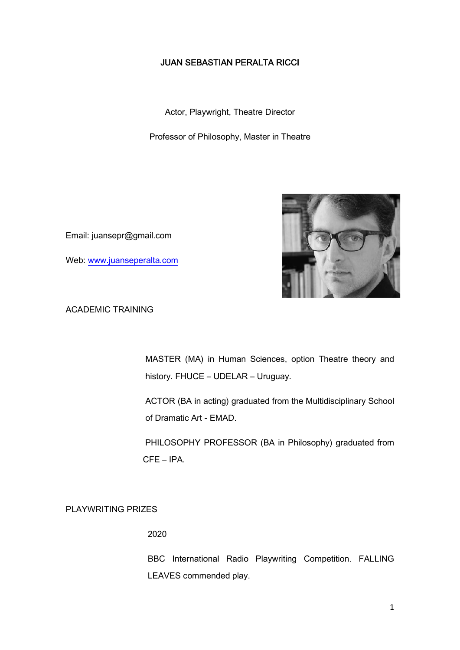## **JUAN SEBASTIAN PERALTA RICCI**

Actor, Playwright, Theatre Director

Professor of Philosophy, Master in Theatre

Email: juansepr@gmail.com

Web: www.juanseperalta.com



ACADEMIC TRAINING

MASTER (MA) in Human Sciences, option Theatre theory and history. FHUCE – UDELAR – Uruguay.

ACTOR (BA in acting) graduated from the Multidisciplinary School of Dramatic Art - EMAD.

PHILOSOPHY PROFESSOR (BA in Philosophy) graduated from CFE – IPA.

PLAYWRITING PRIZES

2020

BBC International Radio Playwriting Competition. FALLING LEAVES commended play.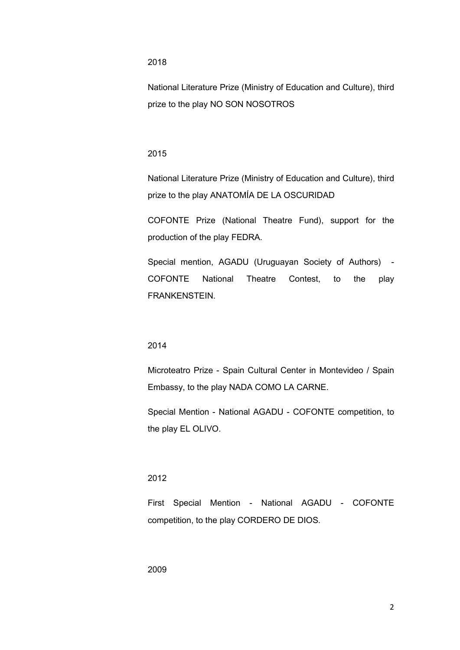### 2018

National Literature Prize (Ministry of Education and Culture), third prize to the play NO SON NOSOTROS

### 2015

National Literature Prize (Ministry of Education and Culture), third prize to the play ANATOMÍA DE LA OSCURIDAD

COFONTE Prize (National Theatre Fund), support for the production of the play FEDRA.

Special mention, AGADU (Uruguayan Society of Authors) - COFONTE National Theatre Contest, to the play FRANKENSTEIN.

### 2014

Microteatro Prize - Spain Cultural Center in Montevideo / Spain Embassy, to the play NADA COMO LA CARNE.

Special Mention - National AGADU - COFONTE competition, to the play EL OLIVO.

## 2012

First Special Mention - National AGADU - COFONTE competition, to the play CORDERO DE DIOS.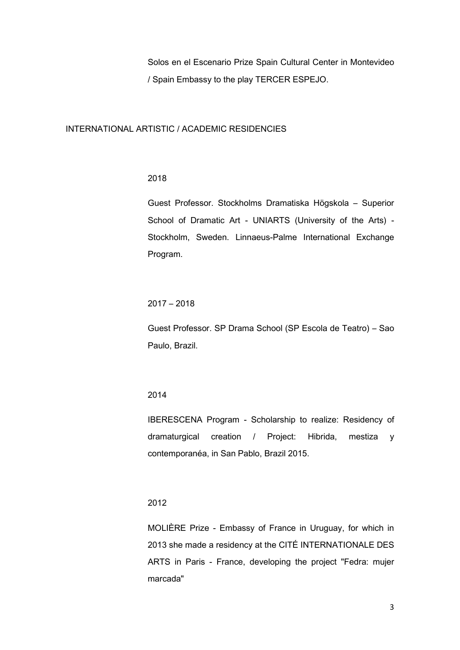Solos en el Escenario Prize Spain Cultural Center in Montevideo / Spain Embassy to the play TERCER ESPEJO.

### INTERNATIONAL ARTISTIC / ACADEMIC RESIDENCIES

### 2018

Guest Professor. Stockholms Dramatiska Högskola – Superior School of Dramatic Art - UNIARTS (University of the Arts) - Stockholm, Sweden. Linnaeus-Palme International Exchange Program.

## 2017 – 2018

Guest Professor. SP Drama School (SP Escola de Teatro) – Sao Paulo, Brazil.

## 2014

IBERESCENA Program - Scholarship to realize: Residency of dramaturgical creation / Project: Hibrida, mestiza y contemporanéa, in San Pablo, Brazil 2015.

## 2012

MOLIÈRE Prize - Embassy of France in Uruguay, for which in 2013 she made a residency at the CITÉ INTERNATIONALE DES ARTS in Paris - France, developing the project "Fedra: mujer marcada"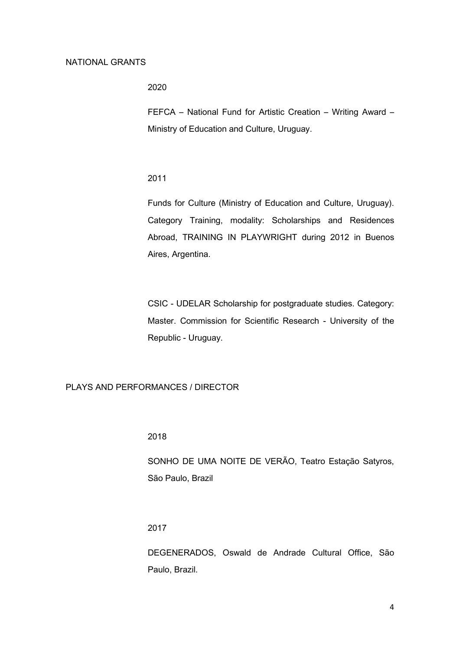#### NATIONAL GRANTS

2020

FEFCA – National Fund for Artistic Creation – Writing Award – Ministry of Education and Culture, Uruguay.

2011

Funds for Culture (Ministry of Education and Culture, Uruguay). Category Training, modality: Scholarships and Residences Abroad, TRAINING IN PLAYWRIGHT during 2012 in Buenos Aires, Argentina.

CSIC - UDELAR Scholarship for postgraduate studies. Category: Master. Commission for Scientific Research - University of the Republic - Uruguay.

PLAYS AND PERFORMANCES / DIRECTOR

2018

SONHO DE UMA NOITE DE VERÃO, Teatro Estação Satyros, São Paulo, Brazil

2017

DEGENERADOS, Oswald de Andrade Cultural Office, São Paulo, Brazil.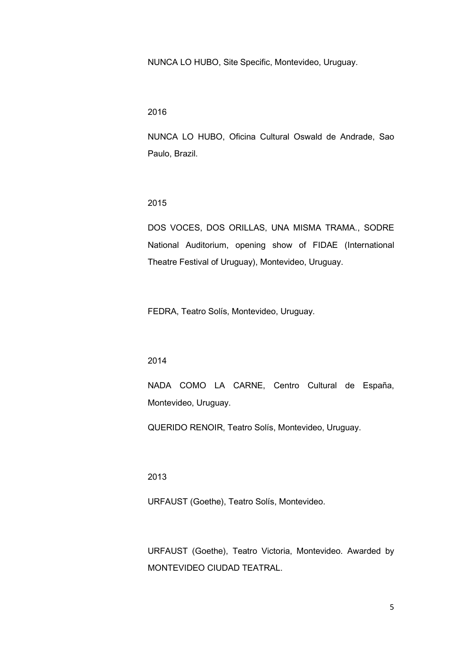NUNCA LO HUBO, Site Specific, Montevideo, Uruguay.

2016

NUNCA LO HUBO, Oficina Cultural Oswald de Andrade, Sao Paulo, Brazil.

2015

DOS VOCES, DOS ORILLAS, UNA MISMA TRAMA., SODRE National Auditorium, opening show of FIDAE (International Theatre Festival of Uruguay), Montevideo, Uruguay.

FEDRA, Teatro Solís, Montevideo, Uruguay.

2014

NADA COMO LA CARNE, Centro Cultural de España, Montevideo, Uruguay.

QUERIDO RENOIR, Teatro Solís, Montevideo, Uruguay.

2013

URFAUST (Goethe), Teatro Solís, Montevideo.

URFAUST (Goethe), Teatro Victoria, Montevideo. Awarded by MONTEVIDEO CIUDAD TEATRAL.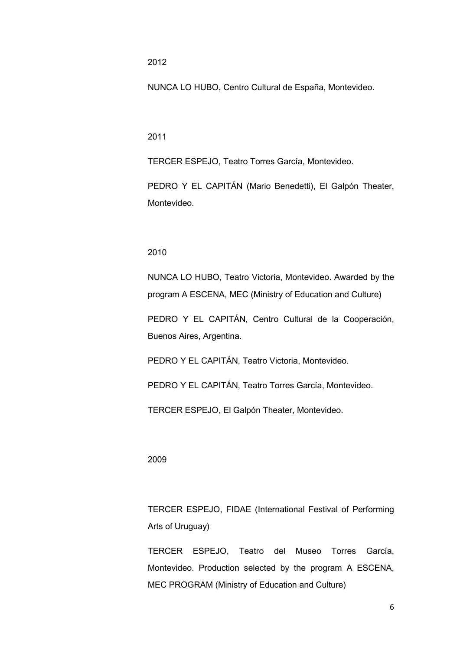2012

NUNCA LO HUBO, Centro Cultural de España, Montevideo.

2011

TERCER ESPEJO, Teatro Torres García, Montevideo.

PEDRO Y EL CAPITÁN (Mario Benedetti), El Galpón Theater, Montevideo.

### 2010

NUNCA LO HUBO, Teatro Victoria, Montevideo. Awarded by the program A ESCENA, MEC (Ministry of Education and Culture)

PEDRO Y EL CAPITÁN, Centro Cultural de la Cooperación, Buenos Aires, Argentina.

PEDRO Y EL CAPITÁN, Teatro Victoria, Montevideo.

PEDRO Y EL CAPITÁN, Teatro Torres García, Montevideo.

TERCER ESPEJO, El Galpón Theater, Montevideo.

#### 2009

TERCER ESPEJO, FIDAE (International Festival of Performing Arts of Uruguay)

TERCER ESPEJO, Teatro del Museo Torres García, Montevideo. Production selected by the program A ESCENA, MEC PROGRAM (Ministry of Education and Culture)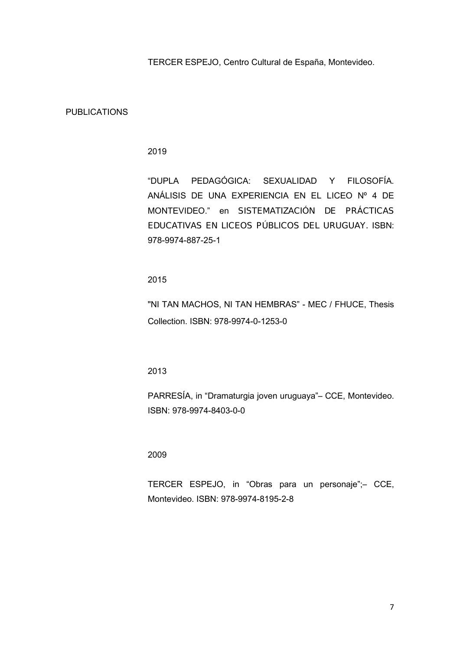TERCER ESPEJO, Centro Cultural de España, Montevideo.

### PUBLICATIONS

## 2019

"DUPLA PEDAGÓGICA: SEXUALIDAD Y FILOSOFÍA. ANÁLISIS DE UNA EXPERIENCIA EN EL LICEO Nº 4 DE MONTEVIDEO." en *SISTEMATIZACIÓN DE PRÁCTICAS EDUCATIVAS EN LICEOS PÚBLICOS DEL URUGUAY.* ISBN: 978-9974-887-25-1

2015

"NI TAN MACHOS, NI TAN HEMBRAS" - MEC / FHUCE, Thesis Collection. ISBN: 978-9974-0-1253-0

2013

PARRESÍA, in "Dramaturgia joven uruguaya"– CCE, Montevideo. ISBN: 978-9974-8403-0-0

2009

TERCER ESPEJO, in "Obras para un personaje";– CCE, Montevideo. ISBN: 978-9974-8195-2-8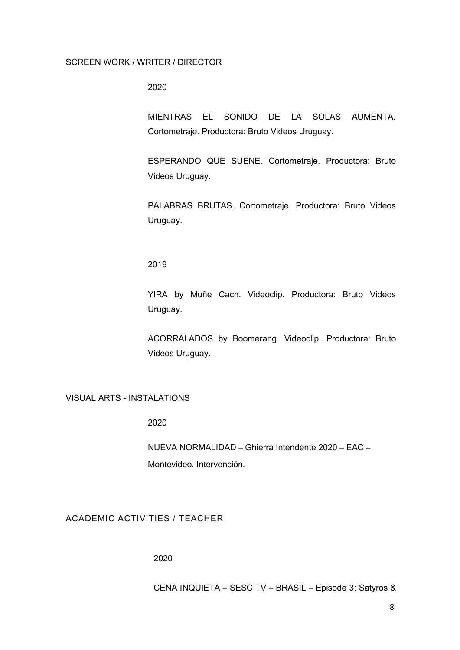#### SCREEN WORK / WRITER / DIRECTOR

2020

MIENTRAS EL SONIDO DE LA SOLAS AUMENTA. Cortometraje. Productora: Bruto Videos Uruguay.

ESPERANDO QUE SUENE. Cortometraje. Productora: Bruto Videos Uruguay.

PALABRAS BRUTAS. Cortometraje. Productora: Bruto Videos Uruguay.

2019

YIRA by Muñe Cach. Videoclip. Productora: Bruto Videos Uruguay.

ACORRALADOS by Boomerang. Videoclip. Productora: Bruto Videos Uruguay.

## VISUAL ARTS - INSTALATIONS

2020

NUEVA NORMALIDAD – Ghierra Intendente 2020 – EAC – Montevideo. Intervención.

ACADEMIC ACTIVITIES / TEACHER

2020

CENA INQUIETA – SESC TV – BRASIL – Episode 3: Satyros &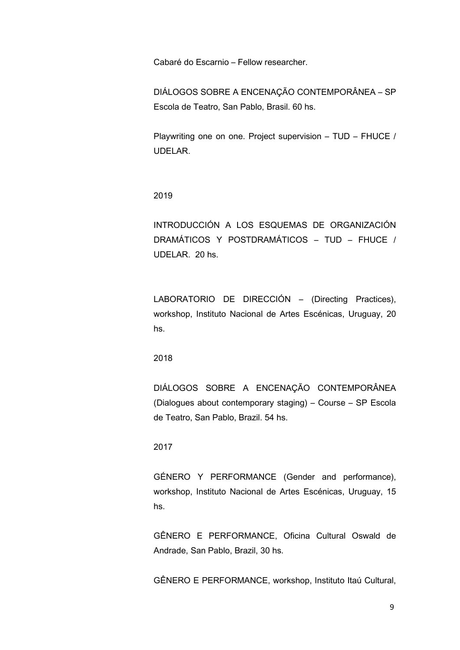Cabaré do Escarnio – Fellow researcher.

DIÁLOGOS SOBRE A ENCENAÇÃO CONTEMPORÂNEA – SP Escola de Teatro, San Pablo, Brasil. 60 hs.

Playwriting one on one. Project supervision – TUD – FHUCE / UDELAR.

2019

INTRODUCCIÓN A LOS ESQUEMAS DE ORGANIZACIÓN DRAMÁTICOS Y POSTDRAMÁTICOS - TUD - FHUCE / UDELAR. 20 hs.

LABORATORIO DE DIRECCIÓN - (Directing Practices), workshop, Instituto Nacional de Artes Escénicas, Uruguay, 20 hs.

2018

DIÁLOGOS SOBRE A ENCENAÇÃO CONTEMPORÂNEA (Dialogues about contemporary staging) – Course – SP Escola de Teatro, San Pablo, Brazil. 54 hs.

## 2017

GÉNERO Y PERFORMANCE (Gender and performance), workshop, Instituto Nacional de Artes Escénicas, Uruguay, 15 hs.

GÊNERO E PERFORMANCE, Oficina Cultural Oswald de Andrade, San Pablo, Brazil, 30 hs.

GÊNERO E PERFORMANCE, workshop, Instituto Itaú Cultural,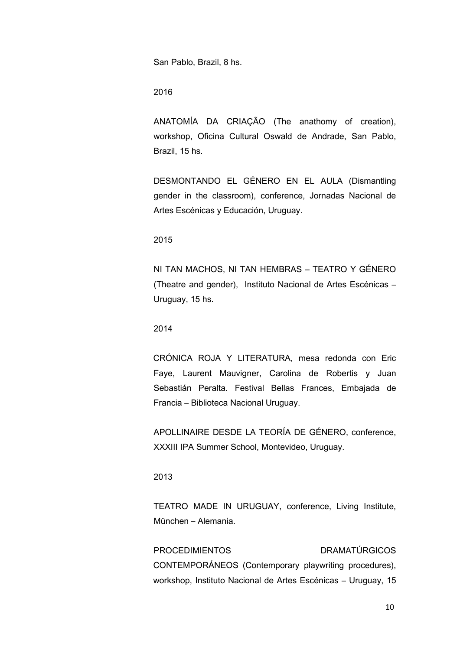San Pablo, Brazil, 8 hs.

2016

ANATOMÍA DA CRIAÇÃO (The anathomy of creation), workshop, Oficina Cultural Oswald de Andrade, San Pablo, Brazil, 15 hs.

DESMONTANDO EL GÉNERO EN EL AULA (Dismantling gender in the classroom), conference, Jornadas Nacional de Artes Escénicas y Educación, Uruguay.

2015

NI TAN MACHOS, NI TAN HEMBRAS – TEATRO Y GÉNERO (Theatre and gender), Instituto Nacional de Artes Escénicas – Uruguay, 15 hs.

2014

CRÓNICA ROJA Y LITERATURA, mesa redonda con Eric Faye, Laurent Mauvigner, Carolina de Robertis y Juan Sebastián Peralta. Festival Bellas Frances, Embajada de Francia – Biblioteca Nacional Uruguay.

APOLLINAIRE DESDE LA TEORÍA DE GÉNERO, conference, XXXIII IPA Summer School, Montevideo, Uruguay.

2013

TEATRO MADE IN URUGUAY, conference, Living Institute, München – Alemania.

PROCEDIMIENTOS DRAMATÚRGICOS CONTEMPORÁNEOS (Contemporary playwriting procedures), workshop, Instituto Nacional de Artes Escénicas – Uruguay, 15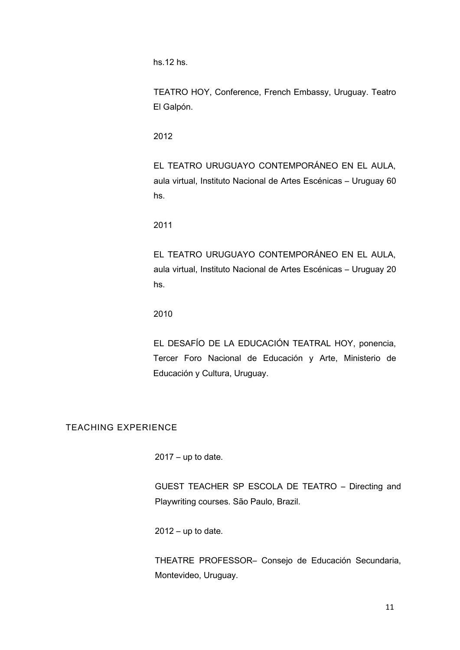hs.12 hs.

TEATRO HOY, Conference, French Embassy, Uruguay. Teatro El Galpón.

2012

EL TEATRO URUGUAYO CONTEMPORÁNEO EN EL AULA, aula virtual, Instituto Nacional de Artes Escénicas – Uruguay 60 hs.

2011

EL TEATRO URUGUAYO CONTEMPORÁNEO EN EL AULA, aula virtual, Instituto Nacional de Artes Escénicas – Uruguay 20 hs.

2010

EL DESAFÍO DE LA EDUCACIÓN TEATRAL HOY, ponencia, Tercer Foro Nacional de Educación y Arte, Ministerio de Educación y Cultura, Uruguay.

# TEACHING EXPERIENCE

 $2017 - up to date.$ 

GUEST TEACHER SP ESCOLA DE TEATRO – Directing and Playwriting courses. São Paulo, Brazil.

 $2012 - up$  to date.

THEATRE PROFESSOR– Consejo de Educación Secundaria, Montevideo, Uruguay.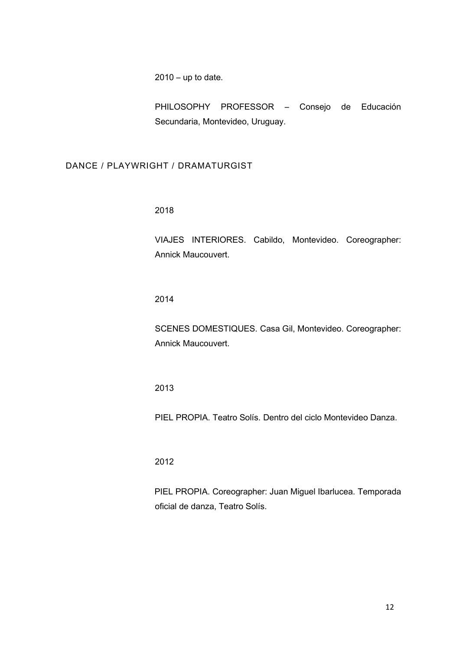$2010 - up$  to date.

PHILOSOPHY PROFESSOR – Consejo de Educación Secundaria, Montevideo, Uruguay.

## DANCE / PLAYWRIGHT / DRAMATURGIST

2018

VIAJES INTERIORES. Cabildo, Montevideo. Coreographer: Annick Maucouvert.

2014

SCENES DOMESTIQUES. Casa Gil, Montevideo. Coreographer: Annick Maucouvert.

2013

PIEL PROPIA. Teatro Solís. Dentro del ciclo Montevideo Danza.

2012

PIEL PROPIA. Coreographer: Juan Miguel Ibarlucea. Temporada oficial de danza, Teatro Solís.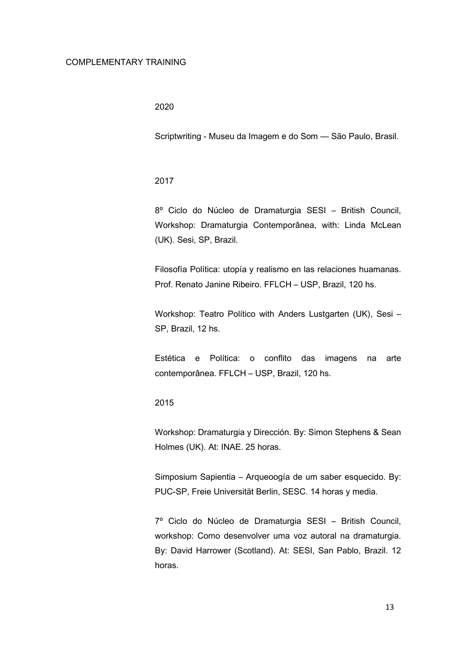#### COMPLEMENTARY TRAINING

### 2020

Scriptwriting - Museu da Imagem e do Som -- São Paulo, Brasil.

### 2017

8º Ciclo do Núcleo de Dramaturgia SESI – British Council, Workshop: Dramaturgia Contemporânea, with: Linda McLean (UK). Sesi, SP, Brazil.

Filosofía Política: utopía y realismo en las relaciones huamanas. Prof. Renato Janine Ribeiro. FFLCH – USP, Brazil, 120 hs.

Workshop: Teatro Político with Anders Lustgarten (UK), Sesi – SP, Brazil, 12 hs.

Estética e Política: o conflito das imagens na arte contemporânea. FFLCH – USP, Brazil, 120 hs.

2015

Workshop: Dramaturgia y Dirección. By: Simon Stephens & Sean Holmes (UK). At: INAE. 25 horas.

Simposium Sapientia – Arqueoogía de um saber esquecido. By: PUC-SP, Freie Universität Berlin, SESC. 14 horas y media.

7º Ciclo do Núcleo de Dramaturgia SESI – British Council, workshop: Como desenvolver uma voz autoral na dramaturgia. By: David Harrower (Scotland). At: SESI, San Pablo, Brazil. 12 horas.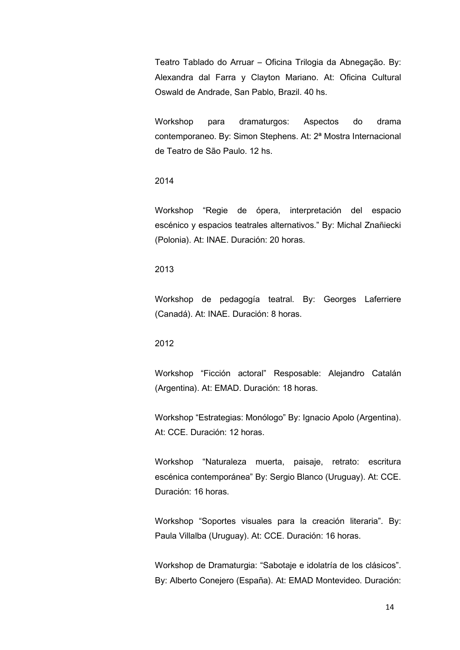Teatro Tablado do Arruar – Oficina Trilogia da Abnegação. By: Alexandra dal Farra y Clayton Mariano. At: Oficina Cultural Oswald de Andrade, San Pablo, Brazil. 40 hs.

Workshop para dramaturgos: Aspectos do drama contemporaneo. By: Simon Stephens. At: 2ª Mostra Internacional de Teatro de São Paulo. 12 hs.

### 2014

Workshop "Regie de ópera, interpretación del espacio escénico y espacios teatrales alternativos." By: Michal Znañiecki (Polonia). At: INAE. Duración: 20 horas.

## 2013

Workshop de pedagogía teatral. By: Georges Laferriere (Canadá). At: INAE. Duración: 8 horas.

## 2012

Workshop "Ficción actoral" Resposable: Alejandro Catalán (Argentina). At: EMAD. Duración: 18 horas.

Workshop "Estrategias: Monólogo" By: Ignacio Apolo (Argentina). At: CCE. Duración: 12 horas.

Workshop "Naturaleza muerta, paisaje, retrato: escritura escénica contemporánea" By: Sergio Blanco (Uruguay). At: CCE. Duración: 16 horas.

Workshop "Soportes visuales para la creación literaria". By: Paula Villalba (Uruguay). At: CCE. Duración: 16 horas.

Workshop de Dramaturgia: "Sabotaje e idolatría de los clásicos". By: Alberto Conejero (España). At: EMAD Montevideo. Duración: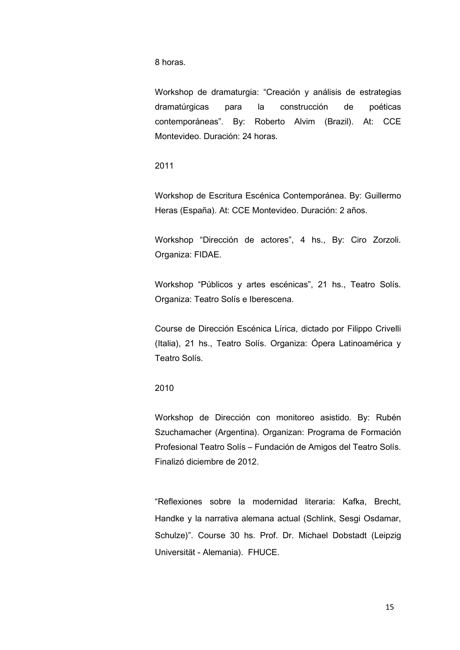8 horas.

Workshop de dramaturgia: "Creación y análisis de estrategias dramatúrgicas para la construcción de poéticas contemporáneas". By: Roberto Alvim (Brazil). At: CCE Montevideo. Duración: 24 horas.

2011

Workshop de Escritura Escénica Contemporánea. By: Guillermo Heras (España). At: CCE Montevideo. Duración: 2 años.

Workshop "Dirección de actores", 4 hs., By: Ciro Zorzoli. Organiza: FIDAE.

Workshop "Públicos y artes escénicas", 21 hs., Teatro Solís. Organiza: Teatro Solís e Iberescena.

Course de Dirección Escénica Lírica, dictado por Filippo Crivelli (Italia), 21 hs., Teatro Solís. Organiza: Ópera Latinoamérica y Teatro Solís.

2010

Workshop de Dirección con monitoreo asistido. By: Rubén Szuchamacher (Argentina). Organizan: Programa de Formación Profesional Teatro Solís – Fundación de Amigos del Teatro Solís. Finalizó diciembre de 2012.

"Reflexiones sobre la modernidad literaria: Kafka, Brecht, Handke y la narrativa alemana actual (Schlink, Sesgi Osdamar, Schulze)". Course 30 hs. Prof. Dr. Michael Dobstadt (Leipzig Universität - Alemania). FHUCE.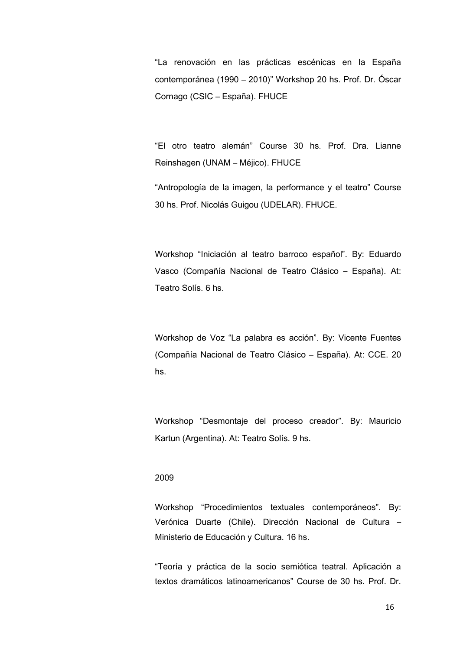"La renovación en las prácticas escénicas en la España contemporánea (1990 – 2010)" Workshop 20 hs. Prof. Dr. Óscar Cornago (CSIC – España). FHUCE

"El otro teatro alemán" Course 30 hs. Prof. Dra. Lianne Reinshagen (UNAM – Méjico). FHUCE

"Antropología de la imagen, la performance y el teatro" Course 30 hs. Prof. Nicolás Guigou (UDELAR). FHUCE.

Workshop "Iniciación al teatro barroco español". By: Eduardo Vasco (Compañía Nacional de Teatro Clásico – España). At: Teatro Solís. 6 hs.

Workshop de Voz "La palabra es acción". By: Vicente Fuentes (Compañía Nacional de Teatro Clásico – España). At: CCE. 20 hs.

Workshop "Desmontaje del proceso creador". By: Mauricio Kartun (Argentina). At: Teatro Solís. 9 hs.

## 2009

Workshop "Procedimientos textuales contemporáneos". By: Verónica Duarte (Chile). Dirección Nacional de Cultura – Ministerio de Educación y Cultura. 16 hs.

"Teoría y práctica de la socio semiótica teatral. Aplicación a textos dramáticos latinoamericanos" Course de 30 hs. Prof. Dr.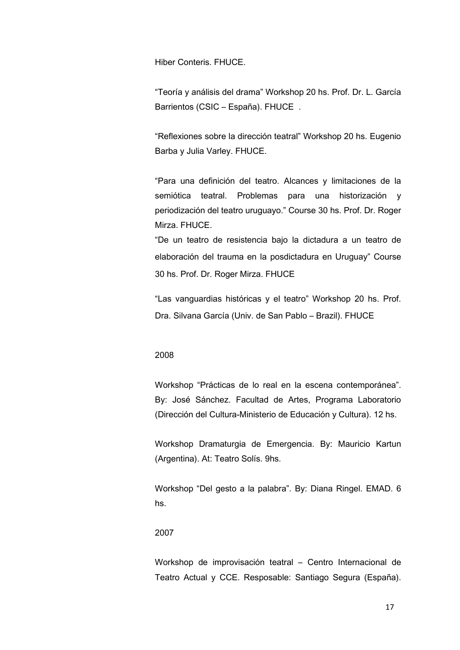Hiber Conteris. FHUCE.

"Teoría y análisis del drama" Workshop 20 hs. Prof. Dr. L. García Barrientos (CSIC – España). FHUCE .

"Reflexiones sobre la dirección teatral" Workshop 20 hs. Eugenio Barba y Julia Varley. FHUCE.

"Para una definición del teatro. Alcances y limitaciones de la semiótica teatral. Problemas para una historización y periodización del teatro uruguayo." Course 30 hs. Prof. Dr. Roger Mirza. FHUCE.

"De un teatro de resistencia bajo la dictadura a un teatro de elaboración del trauma en la posdictadura en Uruguay" Course 30 hs. Prof. Dr. Roger Mirza. FHUCE

"Las vanguardias históricas y el teatro" Workshop 20 hs. Prof. Dra. Silvana García (Univ. de San Pablo – Brazil). FHUCE

#### 2008

Workshop "Prácticas de lo real en la escena contemporánea". By: José Sánchez. Facultad de Artes, Programa Laboratorio (Dirección del Cultura-Ministerio de Educación y Cultura). 12 hs.

Workshop Dramaturgia de Emergencia. By: Mauricio Kartun (Argentina). At: Teatro Solís. 9hs.

Workshop "Del gesto a la palabra". By: Diana Ringel. EMAD. 6 hs.

### 2007

Workshop de improvisación teatral – Centro Internacional de Teatro Actual y CCE. Resposable: Santiago Segura (España).